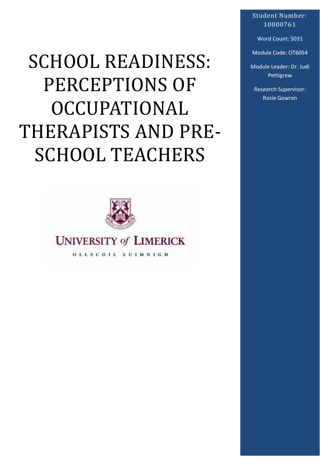# SCHOOL READINESS: PERCEPTIONS OF OCCUPATIONAL THERAPISTS AND PRE-SCHOOL TEACHERS



# **UNIVERSITY of LIMERICK**

OLLSCOIL LUIMNIGH

Student Number: 10000761

Word Count: 5031

Module Code: OT6054

Module Leader: Dr. Judi Pettigrew

Research Supervisor: Rosie Gowran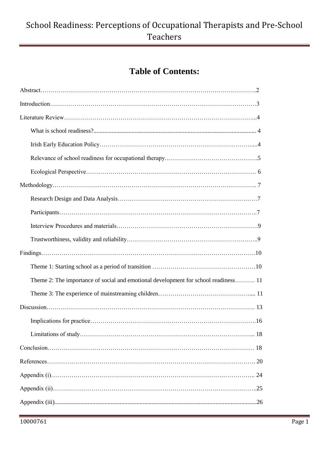# **Table of Contents:**

| Theme 2: The importance of social and emotional development for school readiness 11 |    |
|-------------------------------------------------------------------------------------|----|
|                                                                                     |    |
|                                                                                     |    |
|                                                                                     |    |
|                                                                                     | 18 |
|                                                                                     |    |
|                                                                                     |    |
|                                                                                     |    |
|                                                                                     |    |
|                                                                                     |    |
|                                                                                     |    |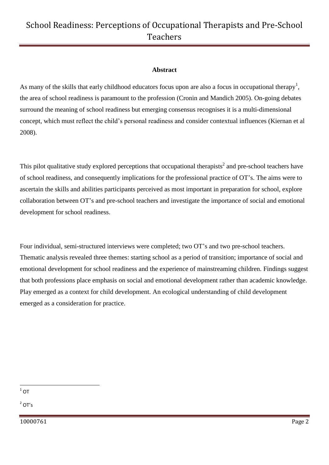#### **Abstract**

As many of the skills that early childhood educators focus upon are also a focus in occupational therapy<sup>1</sup>, the area of school readiness is paramount to the profession (Cronin and Mandich 2005). On-going debates surround the meaning of school readiness but emerging consensus recognises it is a multi-dimensional concept, which must reflect the child's personal readiness and consider contextual influences (Kiernan et al 2008).

This pilot qualitative study explored perceptions that occupational therapists<sup>2</sup> and pre-school teachers have of school readiness, and consequently implications for the professional practice of OT's. The aims were to ascertain the skills and abilities participants perceived as most important in preparation for school, explore collaboration between OT's and pre-school teachers and investigate the importance of social and emotional development for school readiness.

Four individual, semi-structured interviews were completed; two OT's and two pre-school teachers. Thematic analysis revealed three themes: starting school as a period of transition; importance of social and emotional development for school readiness and the experience of mainstreaming children. Findings suggest that both professions place emphasis on social and emotional development rather than academic knowledge. Play emerged as a context for child development. An ecological understanding of child development emerged as a consideration for practice.

 $\frac{1}{1}$ OT

 $2^2$  OT's

10000761 Page 2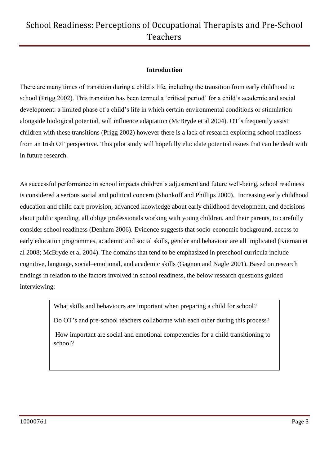### **Introduction**

There are many times of transition during a child's life, including the transition from early childhood to school (Prigg 2002). This transition has been termed a 'critical period' for a child's academic and social development: a limited phase of a child's life in which certain environmental conditions or stimulation alongside biological potential, will influence adaptation (McBryde et al 2004). OT's frequently assist children with these transitions (Prigg 2002) however there is a lack of research exploring school readiness from an Irish OT perspective. This pilot study will hopefully elucidate potential issues that can be dealt with in future research.

As successful performance in school impacts children's adjustment and future well-being, school readiness is considered a serious social and political concern (Shonkoff and Phillips 2000). Increasing early childhood education and child care provision, advanced knowledge about early childhood development, and decisions about public spending, all oblige professionals working with young children, and their parents, to carefully consider school readiness (Denham 2006). Evidence suggests that socio-economic background, access to early education programmes, academic and social skills, gender and behaviour are all implicated (Kiernan et al 2008; McBryde et al 2004). The domains that tend to be emphasized in preschool curricula include cognitive, language, social–emotional, and academic skills (Gagnon and Nagle 2001). Based on research findings in relation to the factors involved in school readiness, the below research questions guided interviewing:

What skills and behaviours are important when preparing a child for school?

Do OT's and pre-school teachers collaborate with each other during this process?

How important are social and emotional competencies for a child transitioning to school?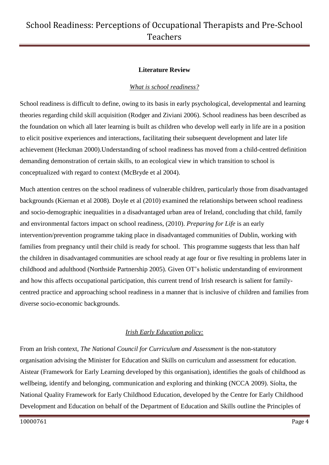#### **Literature Review**

#### *What is school readiness?*

School readiness is difficult to define, owing to its basis in early psychological, developmental and learning theories regarding child skill acquisition (Rodger and Ziviani 2006). School readiness has been described as the foundation on which all later learning is built as children who develop well early in life are in a position to elicit positive experiences and interactions, facilitating their subsequent development and later life achievement (Heckman 2000).Understanding of school readiness has moved from a child-centred definition demanding demonstration of certain skills, to an ecological view in which transition to school is conceptualized with regard to context (McBryde et al 2004).

Much attention centres on the school readiness of vulnerable children, particularly those from disadvantaged backgrounds (Kiernan et al 2008). Doyle et al (2010) examined the relationships between school readiness and socio-demographic inequalities in a disadvantaged urban area of Ireland, concluding that child, family and environmental factors impact on school readiness, (2010). *Preparing for Life* is an early intervention/prevention programme taking place in disadvantaged communities of Dublin, working with families from pregnancy until their child is ready for school. This programme suggests that less than half the children in disadvantaged communities are school ready at age four or five resulting in problems later in childhood and adulthood (Northside Partnership 2005). Given OT's holistic understanding of environment and how this affects occupational participation, this current trend of Irish research is salient for familycentred practice and approaching school readiness in a manner that is inclusive of children and families from diverse socio-economic backgrounds.

### *Irish Early Education policy:*

From an Irish context, *The National Council for Curriculum and Assessment* is the non-statutory organisation advising the Minister for Education and Skills on curriculum and assessment for education. Aistear (Framework for Early Learning developed by this organisation), identifies the goals of childhood as wellbeing, identify and belonging, communication and exploring and thinking (NCCA 2009). Síolta, the National Quality Framework for Early Childhood Education, developed by the Centre for Early Childhood Development and Education on behalf of the [Department of Education and Skills](http://www.education.ie/) outline the Principles of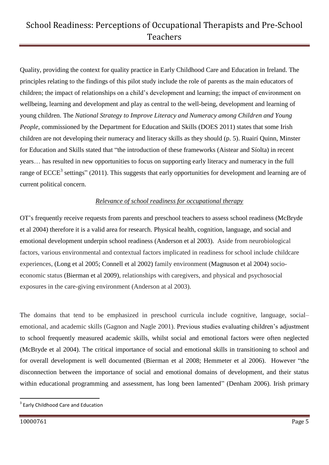Quality, providing the context for quality practice in Early Childhood Care and Education in Ireland. The principles relating to the findings of this pilot study include the role of parents as the main educators of children; the impact of relationships on a child's development and learning; the impact of environment on wellbeing, learning and development and play as central to the well-being, development and learning of young children. The *National Strategy to Improve Literacy and Numeracy among Children and Young People*, commissioned by the Department for Education and Skills (DOES 2011) states that some Irish children are not developing their numeracy and literacy skills as they should (p. 5). Ruairí Quinn, Minster for Education and Skills stated that "the introduction of these frameworks (Aistear and Síolta) in recent years… has resulted in new opportunities to focus on supporting early literacy and numeracy in the full range of  $ECCE<sup>3</sup>$  settings" (2011). This suggests that early opportunities for development and learning are of current political concern.

### *Relevance of school readiness for occupational therapy*

OT's frequently receive requests from parents and preschool teachers to assess school readiness (McBryde et al 2004) therefore it is a valid area for research. Physical health, cognition, language, and social and emotional development underpin school readiness (Anderson et al 2003). Aside from neurobiological factors, various environmental and contextual factors implicated in readiness for school include childcare experiences, (Long et al 2005; Connell et al 2002) family environment (Magnuson et al 2004) socioeconomic status (Bierman et al 2009), relationships with caregivers, and physical and psychosocial exposures in the care-giving environment (Anderson at al 2003).

The domains that tend to be emphasized in preschool curricula include cognitive, language, social– emotional, and academic skills (Gagnon and Nagle 2001). Previous studies evaluating children's adjustment to school frequently measured academic skills, whilst social and emotional factors were often neglected (McBryde et al 2004). The critical importance of social and emotional skills in transitioning to school and for overall development is well documented (Bierman et al 2008; Hemmeter et al 2006). However "the disconnection between the importance of social and emotional domains of development, and their status within educational programming and assessment, has long been lamented" (Denham 2006). Irish primary

1

<sup>&</sup>lt;sup>3</sup> Early Childhood Care and Education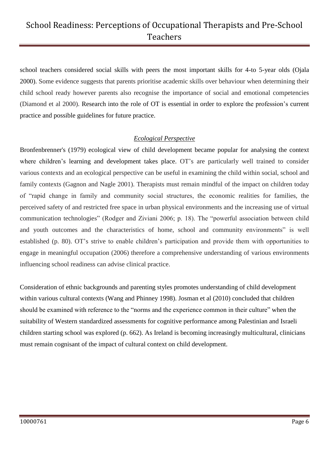school teachers considered social skills with peers the most important skills for 4-to 5-year olds (Ojala 2000). Some evidence suggests that parents prioritise academic skills over behaviour when determining their child school ready however parents also recognise the importance of social and emotional competencies (Diamond et al 2000). Research into the role of OT is essential in order to explore the profession's current practice and possible guidelines for future practice.

#### *Ecological Perspective*

Bronfenbrenner's (1979) ecological view of child development became popular for analysing the context where children's learning and development takes place. OT's are particularly well trained to consider various contexts and an ecological perspective can be useful in examining the child within social, school and family contexts (Gagnon and Nagle 2001). Therapists must remain mindful of the impact on children today of "rapid change in family and community social structures, the economic realities for families, the perceived safety of and restricted free space in urban physical environments and the increasing use of virtual communication technologies" (Rodger and Ziviani 2006; p. 18). The "powerful association between child and youth outcomes and the characteristics of home, school and community environments" is well established (p. 80). OT's strive to enable children's participation and provide them with opportunities to engage in meaningful occupation (2006) therefore a comprehensive understanding of various environments influencing school readiness can advise clinical practice.

Consideration of ethnic backgrounds and parenting styles promotes understanding of child development within various cultural contexts (Wang and Phinney 1998). Josman et al (2010) concluded that children should be examined with reference to the "norms and the experience common in their culture" when the suitability of Western standardized assessments for cognitive performance among Palestinian and Israeli children starting school was explored (p. 662). As Ireland is becoming increasingly multicultural, clinicians must remain cognisant of the impact of cultural context on child development.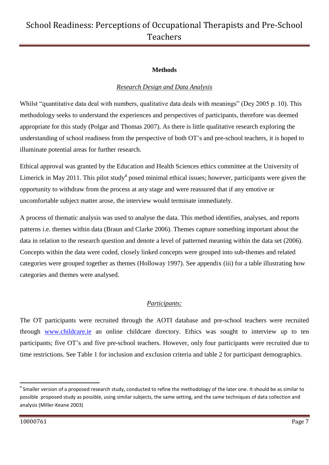### **Methods**

### *Research Design and Data Analysis*

Whilst "quantitative data deal with numbers, qualitative data deals with meanings" (Dey 2005 p. 10). This methodology seeks to understand the experiences and perspectives of participants, therefore was deemed appropriate for this study (Polgar and Thomas 2007). As there is little qualitative research exploring the understanding of school readiness from the perspective of both OT's and pre-school teachers, it is hoped to illuminate potential areas for further research.

Ethical approval was granted by the Education and Health Sciences ethics committee at the University of Limerick in May 2011. This pilot study<sup>4</sup> posed minimal ethical issues; however, participants were given the opportunity to withdraw from the process at any stage and were reassured that if any emotive or uncomfortable subject matter arose, the interview would terminate immediately.

A process of thematic analysis was used to analyse the data. This method identifies, analyses, and reports patterns i.e. themes within data (Braun and Clarke 2006). Themes capture something important about the data in relation to the research question and denote a level of patterned meaning within the data set (2006). Concepts within the data were coded, closely linked concepts were grouped into sub-themes and related categories were grouped together as themes (Holloway 1997). See appendix (iii) for a table illustrating how categories and themes were analysed.

### *Participants:*

The OT participants were recruited through the AOTI database and pre-school teachers were recruited through [www.childcare.ie](http://www.childcare.ie/) an online childcare directory. Ethics was sought to interview up to ten participants; five OT's and five pre-school teachers. However, only four participants were recruited due to time restrictions. See Table 1 for inclusion and exclusion criteria and table 2 for participant demographics.

1

 $^4$  Smaller version of a proposed research study, conducted to refine the methodology of the later one. It should be as similar to possible proposed study as possible, using similar subjects, the same setting, and the same techniques of data collection and analysis (Miller-Keane 2003)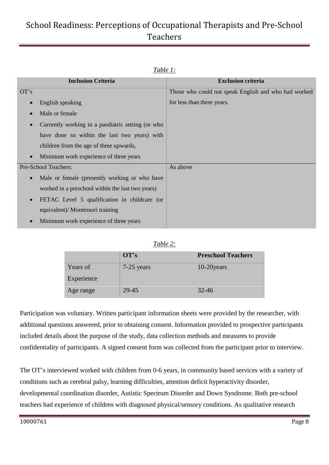| ravie 1.                                                       |                                                      |
|----------------------------------------------------------------|------------------------------------------------------|
| <b>Inclusion Criteria</b>                                      | <b>Exclusion criteria</b>                            |
| OT's                                                           | Those who could not speak English and who had worked |
| English speaking<br>$\bullet$                                  | for less than three years.                           |
| Male or female<br>$\bullet$                                    |                                                      |
| Currently working in a paediatric setting (or who<br>$\bullet$ |                                                      |
| have done so within the last two years) with                   |                                                      |
| children from the age of three upwards,                        |                                                      |
| Minimum work experience of three years<br>$\bullet$            |                                                      |
| Pre-School Teachers:                                           | As above                                             |
| Male or female (presently working or who have<br>$\bullet$     |                                                      |
| worked in a preschool within the last two years)               |                                                      |
| FETAC Level 5 qualification in childcare (or<br>$\bullet$      |                                                      |
| equivalent)/ Montessori training                               |                                                      |
| Minimum work experience of three years<br>$\bullet$            |                                                      |

### *Table 1:*

|            | $\mathbf{O} \mathbf{T}^{\prime} \mathbf{s}$ | <b>Preschool Teachers</b> |
|------------|---------------------------------------------|---------------------------|
| Years of   | 7-25 years                                  | 10-20 years               |
| Experience |                                             |                           |
| Age range  | 29-45                                       | $32 - 46$                 |

Participation was voluntary. Written participant information sheets were provided by the researcher, with additional questions answered, prior to obtaining consent. Information provided to prospective participants included details about the purpose of the study, data collection methods and measures to provide confidentiality of participants. A signed consent form was collected from the participant prior to interview.

The OT's interviewed worked with children from 0-6 years, in community based services with a variety of conditions such as cerebral palsy, learning difficulties, attention deficit hyperactivity disorder, developmental coordination disorder, Autistic Spectrum Disorder and Down Syndrome. Both pre-school teachers had experience of children with diagnosed physical/sensory conditions. As qualitative research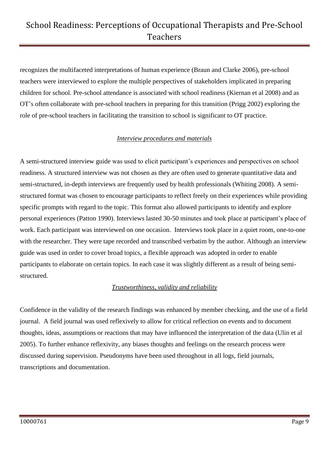recognizes the multifaceted interpretations of human experience (Braun and Clarke 2006), pre-school teachers were interviewed to explore the multiple perspectives of stakeholders implicated in preparing children for school. Pre-school attendance is associated with school readiness (Kiernan et al 2008) and as OT's often collaborate with pre-school teachers in preparing for this transition (Prigg 2002) exploring the role of pre-school teachers in facilitating the transition to school is significant to OT practice.

### *Interview procedures and materials*

A semi-structured interview guide was used to elicit participant's experiences and perspectives on school readiness. A structured interview was not chosen as they are often used to generate quantitative data and semi-structured, in-depth interviews are frequently used by health professionals (Whiting 2008). A semistructured format was chosen to encourage participants to reflect freely on their experiences while providing specific prompts with regard to the topic. This format also allowed participants to identify and explore personal experiences (Patton 1990). Interviews lasted 30-50 minutes and took place at participant's place of work. Each participant was interviewed on one occasion. Interviews took place in a quiet room, one-to-one with the researcher. They were tape recorded and transcribed verbatim by the author. Although an interview guide was used in order to cover broad topics, a flexible approach was adopted in order to enable participants to elaborate on certain topics. In each case it was slightly different as a result of being semistructured.

### *Trustworthiness, validity and reliability*

Confidence in the validity of the research findings was enhanced by member checking, and the use of a field journal. A field journal was used reflexively to allow for critical reflection on events and to document thoughts, ideas, assumptions or reactions that may have influenced the interpretation of the data (Ulin et al 2005). To further enhance reflexivity, any biases thoughts and feelings on the research process were discussed during supervision. Pseudonyms have been used throughout in all logs, field journals, transcriptions and documentation.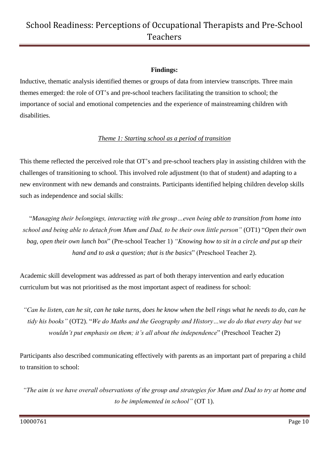#### **Findings:**

Inductive, thematic analysis identified themes or groups of data from interview transcripts. Three main themes emerged: the role of OT's and pre-school teachers facilitating the transition to school; the importance of social and emotional competencies and the experience of mainstreaming children with disabilities.

### *Theme 1: Starting school as a period of transition*

This theme reflected the perceived role that OT's and pre-school teachers play in assisting children with the challenges of transitioning to school. This involved role adjustment (to that of student) and adapting to a new environment with new demands and constraints. Participants identified helping children develop skills such as independence and social skills:

"*Managing their belongings, interacting with the group…even being able to transition from home into school and being able to detach from Mum and Dad, to be their own little person"* (OT1) "*Open their own bag, open their own lunch box*" (Pre-school Teacher 1) *"Knowing how to sit in a circle and put up their hand and to ask a question; that is the basics*" (Preschool Teacher 2).

Academic skill development was addressed as part of both therapy intervention and early education curriculum but was not prioritised as the most important aspect of readiness for school:

*"Can he listen, can he sit, can he take turns, does he know when the bell rings what he needs to do, can he tidy his books"* (OT2). "*We do Maths and the Geography and History…we do do that every day but we wouldn't put emphasis on them; it's all about the independence*" (Preschool Teacher 2)

Participants also described communicating effectively with parents as an important part of preparing a child to transition to school:

*"The aim is we have overall observations of the group and strategies for Mum and Dad to try at home and to be implemented in school"* (OT 1).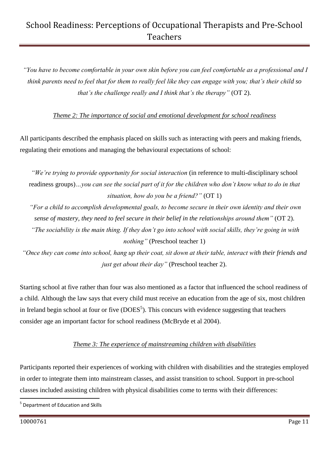*"You have to become comfortable in your own skin before you can feel comfortable as a professional and I think parents need to feel that for them to really feel like they can engage with you; that's their child so that's the challenge really and I think that's the therapy"* (OT 2).

*Theme 2: The importance of social and emotional development for school readiness*

All participants described the emphasis placed on skills such as interacting with peers and making friends, regulating their emotions and managing the behavioural expectations of school:

*"We're trying to provide opportunity for social interaction* (in reference to multi-disciplinary school readiness groups)*…you can see the social part of it for the children who don't know what to do in that situation, how do you be a friend?"* (OT 1)

*"For a child to accomplish developmental goals, to become secure in their own identity and their own sense of mastery, they need to feel secure in their belief in the relationships around them"* (OT 2).

*"The sociability is the main thing. If they don't go into school with social skills, they're going in with nothing"* (Preschool teacher 1)

*"Once they can come into school, hang up their coat, sit down at their table, interact with their friends and just get about their day"* (Preschool teacher 2).

Starting school at five rather than four was also mentioned as a factor that influenced the school readiness of a child. Although the law says that every child must receive an education from the age of six, most children in Ireland begin school at four or five  $(DOES<sup>5</sup>)$ . This concurs with evidence suggesting that teachers consider age an important factor for school readiness (McBryde et al 2004).

### *Theme 3: The experience of mainstreaming children with disabilities*

Participants reported their experiences of working with children with disabilities and the strategies employed in order to integrate them into mainstream classes, and assist transition to school. Support in pre-school classes included assisting children with physical disabilities come to terms with their differences:

<sup>1</sup> <sup>5</sup> Department of Education and Skills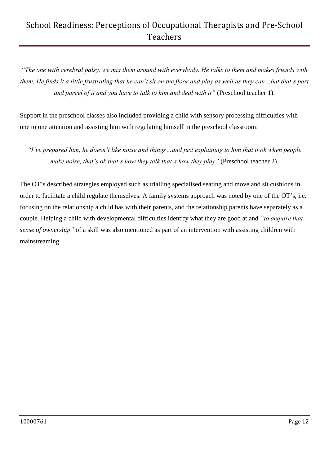*"The one with cerebral palsy, we mix them around with everybody. He talks to them and makes friends with them. He finds it a little frustrating that he can't sit on the floor and play as well as they can…but that's part and parcel of it and you have to talk to him and deal with it"* (Preschool teacher 1).

Support in the preschool classes also included providing a child with sensory processing difficulties with one to one attention and assisting him with regulating himself in the preschool classroom:

*"I've prepared him, he doesn't like noise and things…and just explaining to him that it ok when people make noise, that's ok that's how they talk that's how they play"* (Preschool teacher 2).

The OT's described strategies employed such as trialling specialised seating and move and sit cushions in order to facilitate a child regulate themselves. A family systems approach was noted by one of the OT's, i.e. focusing on the relationship a child has with their parents, and the relationship parents have separately as a couple. Helping a child with developmental difficulties identify what they are good at and *"to acquire that sense of ownership"* of a skill was also mentioned as part of an intervention with assisting children with mainstreaming.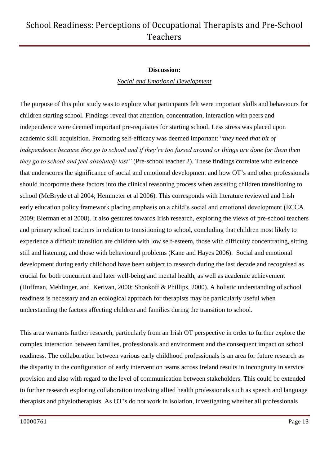#### **Discussion:**

#### *Social and Emotional Development*

The purpose of this pilot study was to explore what participants felt were important skills and behaviours for children starting school. Findings reveal that attention, concentration, interaction with peers and independence were deemed important pre-requisites for starting school. Less stress was placed upon academic skill acquisition. Promoting self-efficacy was deemed important: "*they need that bit of independence because they go to school and if they're too fussed around or things are done for them then they go to school and feel absolutely lost"* (Pre-school teacher 2). These findings correlate with evidence that underscores the significance of social and emotional development and how OT's and other professionals should incorporate these factors into the clinical reasoning process when assisting children transitioning to school (McBryde et al 2004; Hemmeter et al 2006). This corresponds with literature reviewed and Irish early education policy framework placing emphasis on a child's social and emotional development (ECCA 2009; Bierman et al 2008). It also gestures towards Irish research, exploring the views of pre-school teachers and primary school teachers in relation to transitioning to school, concluding that children most likely to experience a difficult transition are children with low self-esteem, those with difficulty concentrating, sitting still and listening, and those with behavioural problems (Kane and Hayes 2006). Social and emotional development during early childhood have been subject to research during the last decade and recognised as crucial for both concurrent and later well-being and mental health, as well as academic achievement (Huffman, Mehlinger, and Kerivan, 2000; Shonkoff & Phillips, 2000). A holistic understanding of school readiness is necessary and an ecological approach for therapists may be particularly useful when understanding the factors affecting children and families during the transition to school.

This area warrants further research, particularly from an Irish OT perspective in order to further explore the complex interaction between families, professionals and environment and the consequent impact on school readiness. The collaboration between various early childhood professionals is an area for future research as the disparity in the configuration of early intervention teams across Ireland results in incongruity in service provision and also with regard to the level of communication between stakeholders. This could be extended to further research exploring collaboration involving allied health professionals such as speech and language therapists and physiotherapists. As OT's do not work in isolation, investigating whether all professionals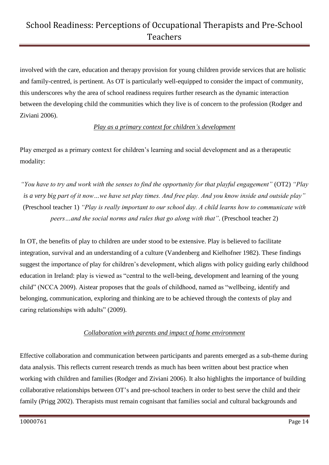involved with the care, education and therapy provision for young children provide services that are holistic and family-centred, is pertinent. As OT is particularly well-equipped to consider the impact of community, this underscores why the area of school readiness requires further research as the dynamic interaction between the developing child the communities which they live is of concern to the profession (Rodger and Ziviani 2006).

#### *Play as a primary context for children's development*

Play emerged as a primary context for children's learning and social development and as a therapeutic modality:

*"You have to try and work with the senses to find the opportunity for that playful engagement"* (OT2) *"Play is a very big part of it now…we have set play times. And free play. And you know inside and outside play"* (Preschool teacher 1) *"Play is really important to our school day. A child learns how to communicate with peers…and the social norms and rules that go along with that"*. (Preschool teacher 2)

In OT, the benefits of play to children are under stood to be extensive. Play is believed to facilitate integration, survival and an understanding of a culture (Vandenberg and Kielhofner 1982). These findings suggest the importance of play for children's development, which aligns with policy guiding early childhood education in Ireland: play is viewed as "central to the well-being, development and learning of the young child" (NCCA 2009). Aistear proposes that the goals of childhood, named as "wellbeing, identify and belonging, communication, exploring and thinking are to be achieved through the contexts of play and caring relationships with adults" (2009).

### *Collaboration with parents and impact of home environment*

Effective collaboration and communication between participants and parents emerged as a sub-theme during data analysis. This reflects current research trends as much has been written about best practice when working with children and families (Rodger and Ziviani 2006). It also highlights the importance of building collaborative relationships between OT's and pre-school teachers in order to best serve the child and their family (Prigg 2002). Therapists must remain cognisant that families social and cultural backgrounds and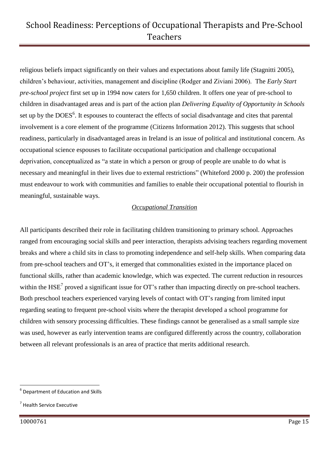religious beliefs impact significantly on their values and expectations about family life (Stagnitti 2005), children's behaviour, activities, management and discipline (Rodger and Ziviani 2006). The *Early Start pre-school project* first set up in 1994 now caters for 1,650 children. It offers one year of pre-school to children in disadvantaged areas and is part of the action plan *Delivering Equality of Opportunity in Schools* set up by the DOES<sup>6</sup>. It espouses to counteract the effects of social disadvantage and cites that parental involvement is a core element of the programme (Citizens Information 2012). This suggests that school readiness, particularly in disadvantaged areas in Ireland is an issue of political and institutional concern. As occupational science espouses to facilitate occupational participation and challenge occupational deprivation, conceptualized as "a state in which a person or group of people are unable to do what is necessary and meaningful in their lives due to external restrictions" (Whiteford 2000 p. 200) the profession must endeavour to work with communities and families to enable their occupational potential to flourish in meaningful, sustainable ways.

### *Occupational Transition*

All participants described their role in facilitating children transitioning to primary school. Approaches ranged from encouraging social skills and peer interaction, therapists advising teachers regarding movement breaks and where a child sits in class to promoting independence and self-help skills. When comparing data from pre-school teachers and OT's, it emerged that commonalities existed in the importance placed on functional skills, rather than academic knowledge, which was expected. The current reduction in resources within the  $HSE<sup>7</sup>$  proved a significant issue for OT's rather than impacting directly on pre-school teachers. Both preschool teachers experienced varying levels of contact with OT's ranging from limited input regarding seating to frequent pre-school visits where the therapist developed a school programme for children with sensory processing difficulties. These findings cannot be generalised as a small sample size was used, however as early intervention teams are configured differently across the country, collaboration between all relevant professionals is an area of practice that merits additional research.

 6 Department of Education and Skills

<sup>&</sup>lt;sup>7</sup> Health Service Executive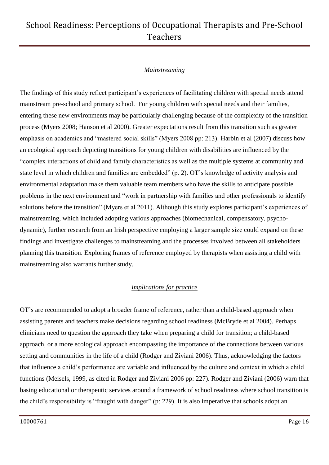#### *Mainstreaming*

The findings of this study reflect participant's experiences of facilitating children with special needs attend mainstream pre-school and primary school. For young children with special needs and their families, entering these new environments may be particularly challenging because of the complexity of the transition process (Myers 2008; Hanson et al 2000). Greater expectations result from this transition such as greater emphasis on academics and "mastered social skills" (Myers 2008 pp: 213). Harbin et al (2007) discuss how an ecological approach depicting transitions for young children with disabilities are influenced by the "complex interactions of child and family characteristics as well as the multiple systems at community and state level in which children and families are embedded" (p. 2). OT's knowledge of activity analysis and environmental adaptation make them valuable team members who have the skills to anticipate possible problems in the next environment and "work in partnership with families and other professionals to identify solutions before the transition" (Myers et al 2011). Although this study explores participant's experiences of mainstreaming, which included adopting various approaches (biomechanical, compensatory, psychodynamic), further research from an Irish perspective employing a larger sample size could expand on these findings and investigate challenges to mainstreaming and the processes involved between all stakeholders planning this transition. Exploring frames of reference employed by therapists when assisting a child with mainstreaming also warrants further study.

### *Implications for practice*

OT's are recommended to adopt a broader frame of reference, rather than a child-based approach when assisting parents and teachers make decisions regarding school readiness (McBryde et al 2004). Perhaps clinicians need to question the approach they take when preparing a child for transition; a child-based approach, or a more ecological approach encompassing the importance of the connections between various setting and communities in the life of a child (Rodger and Ziviani 2006). Thus, acknowledging the factors that influence a child's performance are variable and influenced by the culture and context in which a child functions (Meisels, 1999, as cited in Rodger and Ziviani 2006 pp: 227). Rodger and Ziviani (2006) warn that basing educational or therapeutic services around a framework of school readiness where school transition is the child's responsibility is "fraught with danger" (p: 229). It is also imperative that schools adopt an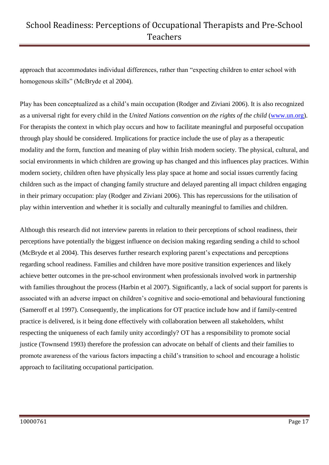approach that accommodates individual differences, rather than "expecting children to enter school with homogenous skills" (McBryde et al 2004).

Play has been conceptualized as a child's main occupation (Rodger and Ziviani 2006). It is also recognized as a universal right for every child in the *United Nations convention on the rights of the child* [\(www.un.org\)](http://www.un.org/). For therapists the context in which play occurs and how to facilitate meaningful and purposeful occupation through play should be considered. Implications for practice include the use of play as a therapeutic modality and the form, function and meaning of play within Irish modern society. The physical, cultural, and social environments in which children are growing up has changed and this influences play practices. Within modern society, children often have physically less play space at home and social issues currently facing children such as the impact of changing family structure and delayed parenting all impact children engaging in their primary occupation: play (Rodger and Ziviani 2006). This has repercussions for the utilisation of play within intervention and whether it is socially and culturally meaningful to families and children.

Although this research did not interview parents in relation to their perceptions of school readiness, their perceptions have potentially the biggest influence on decision making regarding sending a child to school (McBryde et al 2004). This deserves further research exploring parent's expectations and perceptions regarding school readiness. Families and children have more positive transition experiences and likely achieve better outcomes in the pre-school environment when professionals involved work in partnership with families throughout the process (Harbin et al 2007). Significantly, a lack of social support for parents is associated with an adverse impact on children's cognitive and socio-emotional and behavioural functioning (Sameroff et al 1997). Consequently, the implications for OT practice include how and if family-centred practice is delivered, is it being done effectively with collaboration between all stakeholders, whilst respecting the uniqueness of each family unity accordingly? OT has a responsibility to promote social justice (Townsend 1993) therefore the profession can advocate on behalf of clients and their families to promote awareness of the various factors impacting a child's transition to school and encourage a holistic approach to facilitating occupational participation.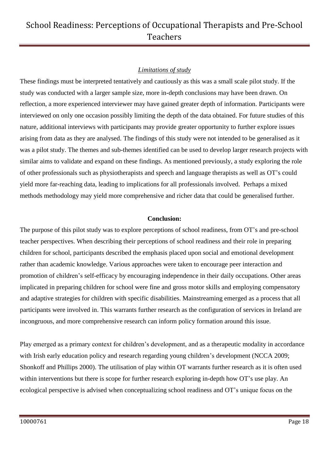### *Limitations of study*

These findings must be interpreted tentatively and cautiously as this was a small scale pilot study. If the study was conducted with a larger sample size, more in-depth conclusions may have been drawn. On reflection, a more experienced interviewer may have gained greater depth of information. Participants were interviewed on only one occasion possibly limiting the depth of the data obtained. For future studies of this nature, additional interviews with participants may provide greater opportunity to further explore issues arising from data as they are analysed. The findings of this study were not intended to be generalised as it was a pilot study. The themes and sub-themes identified can be used to develop larger research projects with similar aims to validate and expand on these findings. As mentioned previously, a study exploring the role of other professionals such as physiotherapists and speech and language therapists as well as OT's could yield more far-reaching data, leading to implications for all professionals involved. Perhaps a mixed methods methodology may yield more comprehensive and richer data that could be generalised further.

#### **Conclusion:**

The purpose of this pilot study was to explore perceptions of school readiness, from OT's and pre-school teacher perspectives. When describing their perceptions of school readiness and their role in preparing children for school, participants described the emphasis placed upon social and emotional development rather than academic knowledge. Various approaches were taken to encourage peer interaction and promotion of children's self-efficacy by encouraging independence in their daily occupations. Other areas implicated in preparing children for school were fine and gross motor skills and employing compensatory and adaptive strategies for children with specific disabilities. Mainstreaming emerged as a process that all participants were involved in. This warrants further research as the configuration of services in Ireland are incongruous, and more comprehensive research can inform policy formation around this issue.

Play emerged as a primary context for children's development, and as a therapeutic modality in accordance with Irish early education policy and research regarding young children's development (NCCA 2009; Shonkoff and Phillips 2000). The utilisation of play within OT warrants further research as it is often used within interventions but there is scope for further research exploring in-depth how OT's use play. An ecological perspective is advised when conceptualizing school readiness and OT's unique focus on the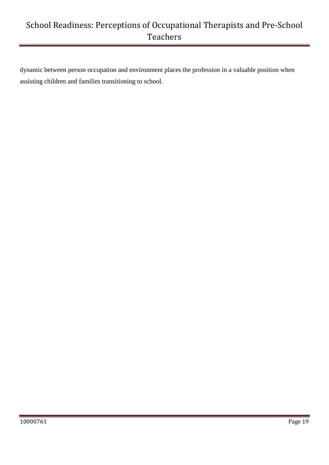dynamic between person occupation and environment places the profession in a valuable position when assisting children and families transitioning to school.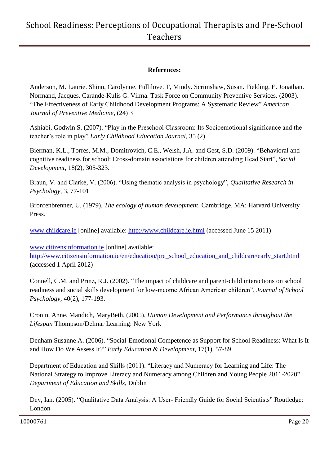#### **References:**

Anderson, M. Laurie. Shinn, Carolynne. Fullilove. T, Mindy. Scrimshaw, Susan. Fielding, E. Jonathan. Normand, Jacques. Carande-Kulis G. Vilma. Task Force on Community Preventive Services. (2003). "The Effectiveness of Early Childhood Development Programs: A Systematic Review" *American Journal of Preventive Medicine*, (24) 3

Ashiabi, Godwin S. (2007). "Play in the Preschool Classroom: Its Socioemotional significance and the teacher's role in play" *Early Childhood Education Journal,* 35 (2)

Bierman, K.L., Torres, M.M., Domitrovich, C.E., Welsh, J.A. and Gest, S.D. (2009). "Behavioral and cognitive readiness for school: Cross-domain associations for children attending Head Start", *Social Development*, 18(2), 305-323.

Braun, V. and Clarke, V. (2006). "Using thematic analysis in psychology", *Qualitative Research in Psychology,* 3, 77-101

Bronfenbrenner, U. (1979). *The ecology of human development*. Cambridge, MA: Harvard University Press.

[www.childcare.ie](http://www.childcare.ie/) [online] available: [http://www.childcare.ie.html](http://www.childcare.ie.html/) (accessed June 15 2011)

[www.citizensinformation.ie](http://www.citizensinformation.ie/) [online] available:

[http://www.citizensinformation.ie/en/education/pre\\_school\\_education\\_and\\_childcare/early\\_start.html](http://www.citizensinformation.ie/en/education/pre_school_education_and_childcare/early_start.html) (accessed 1 April 2012)

Connell, C.M. and Prinz, R.J. (2002). "The impact of childcare and parent-child interactions on school readiness and social skills development for low-income African American children", *Journal of School Psychology*, 40(2), 177-193.

Cronin, Anne. Mandich, MaryBeth. (2005). *Human Development and Performance throughout the Lifespan* Thompson/Delmar Learning: New York

Denham Susanne A. (2006). "Social-Emotional Competence as Support for School Readiness: What Is It and How Do We Assess It?" *Early Education & Development*, 17(1), 57-89

Department of Education and Skills (2011). "Literacy and Numeracy for Learning and Life: The National Strategy to Improve Literacy and Numeracy among Children and Young People 2011-2020" *Department of Education and Skills,* Dublin

Dey, Ian. (2005). "Qualitative Data Analysis: A User- Friendly Guide for Social Scientists" Routledge: London

10000761 Page 20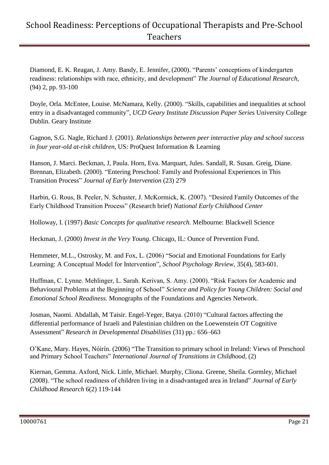Diamond, E. K. Reagan, J. Amy. Bandy, E. Jennifer, (2000). "Parents' conceptions of kindergarten readiness: relationships with race, ethnicity, and development" *The Journal of Educational Research,*  (94) 2, pp. 93-100

Doyle, Orla. McEntee, Louise. McNamara, Kelly. (2000). "Skills, capabilities and inequalities at school entry in a disadvantaged community", *UCD Geary Institute Discussion Paper Series* University College Dublin. Geary Institute

Gagnon, S.G. Nagle, Richard J. (2001). *Relationships between peer interactive play and school success in four year-old at-risk children,* US: ProQuest Information & Learning

Hanson, J. Marci. Beckman, J, Paula. Horn, Eva. Marquart, Jules. Sandall, R. Susan. Greig, Diane. Brennan, Elizabeth. (2000). "Entering Preschool: Family and Professional Experiences in This Transition Process" *Journal of Early Intervention* (23) 279

Harbin, G. Rous, B. Peeler, N. Schuster, J. McKormick, K. (2007). "Desired Family Outcomes of the Early Childhood Transition Process" (Research brief) *National Early Childhood Center* 

Holloway, I. (1997) *Basic Concepts for qualitative research.* Melbourne: Blackwell Science

Heckman, J. (2000) *Invest in the Very Young.* Chicago, IL: Ounce of Prevention Fund.

Hemmeter, M.L., Ostrosky, M. and Fox, L. (2006) "Social and Emotional Foundations for Early Learning: A Conceptual Model for Intervention", *School Psychology Review*, 35(4), 583-601.

Huffman, C. Lynne. Mehlinger, L. Sarah. Kerivan, S. Amy. (2000). "Risk Factors for Academic and Behavioural Problems at the Beginning of School" *Science and Policy for Young Children: Social and Emotional School Readiness.* Monographs of the Foundations and Agencies Network*.*

Josman, Naomi. Abdallah, M Taisir. Engel-Yeger, Batya. (2010) "Cultural factors affecting the differential performance of Israeli and Palestinian children on the Loewenstein OT Cognitive Assessment" *Research in Developmental Disabilities* (31) pp.: 656–663

O'Kane, Mary. Hayes, Nóirín. (2006) "The Transition to primary school in Ireland: Views of Preschool and Primary School Teachers" *International Journal of Transitions in Childhood*, (2)

Kiernan, Gemma. Axford, Nick. Little, Michael. Murphy, Cliona. Greene, Sheila. Gormley, Michael (2008). "The school readiness of children living in a disadvantaged area in Ireland" *Journal of Early Childhood Research* 6(2) 119-144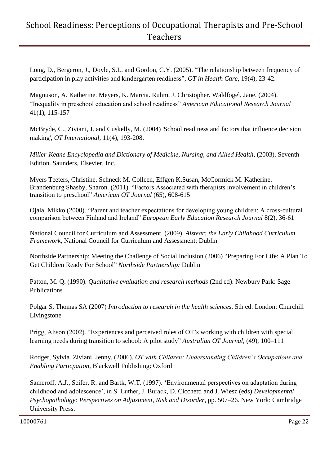Long, D., Bergeron, J., Doyle, S.L. and Gordon, C.Y. (2005). "The relationship between frequency of participation in play activities and kindergarten readiness", *OT in Health Care*, 19(4), 23-42.

Magnuson, A. Katherine. Meyers, K. Marcia. Ruhm, J. Christopher. Waldfogel, Jane. (2004). "Inequality in preschool education and school readiness" *[American Educational Research Journal](http://www.jstor.org/action/showPublication?journalCode=amereducresej)*  41(1), 115-157

McBryde, C., Ziviani, J. and Cuskelly, M. (2004) 'School readiness and factors that influence decision making', *OT International*, 11(4), 193-208.

*Miller-Keane Encyclopedia and Dictionary of Medicine, Nursing, and Allied Health*, (2003). Seventh Edition. Saunders, Elsevier, Inc.

Myers Teeters, Christine. Schneck M. [Colleen,](http://ajot.aotapress.net/search?author1=Colleen+M.+Schneck&sortspec=date&submit=Submit) Effgen K[.Susan,](http://ajot.aotapress.net/search?author1=Susan+K.+Effgen&sortspec=date&submit=Submit) McCormick M. [Katherine.](http://ajot.aotapress.net/search?author1=Katherine+M.+McCormick&sortspec=date&submit=Submit)  Brandenburg Shasby, [Sharon.](http://ajot.aotapress.net/search?author1=Sharon+Brandenburger+Shasby&sortspec=date&submit=Submit) (2011). "Factors Associated with therapists involvement in children's transition to preschool" *American OT Journal* (65), 608-615

Ojala, Mikko (2000). "Parent and teacher expectations for developing young children: A cross-cultural comparison between Finland and Ireland" *European Early Education Research Journal* 8(2), 36-61

National Council for Curriculum and Assessment, (2009). *Aistear: the Early Childhood Curriculum Framework,* National Council for Curriculum and Assessment: Dublin

Northside Partnership: Meeting the Challenge of Social Inclusion (2006) "Preparing For Life: A Plan To Get Children Ready For School" *Northside Partnership:* Dublin

Patton, M. Q. (1990). *Qualitative evaluation and research methods* (2nd ed). Newbury Park: Sage Publications

Polgar S, Thomas SA (2007) *Introduction to research in the health sciences.* 5th ed. London: Churchill Livingstone

Prigg, Alison (2002). "Experiences and perceived roles of OT's working with children with special learning needs during transition to school: A pilot study" *Australian OT Journal,* (49), 100–111

Rodger, Sylvia. Ziviani, Jenny. (2006). *OT with Children: Understanding Children's Occupations and Enabling Particpation,* Blackwell Publishing: Oxford

Sameroff, A.J., Seifer, R. and Bartk, W.T. (1997). 'Environmental perspectives on adaptation during childhood and adolescence', in S. Luther, J. Burack, D. Cicchetti and J. Wiesz (eds) *Developmental Psychopathology: Perspectives on Adjustment, Risk and Disorder*, pp. 507–26. New York: Cambridge University Press.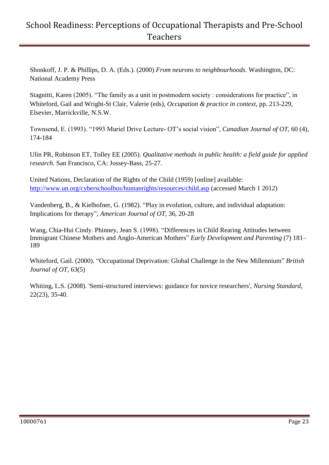Shonkoff, J. P. & Phillips, D. A. (Eds.). (2000) *From neurons to neighbourhoods.* Washington, DC: National Academy Press

Stagnitti, Karen (2005). "The family as a unit in postmodern society : considerations for practice", in Whiteford, Gail and Wright-St Clair, Valerie (eds), *Occupation & practice in context*, pp. 213-229, Elsevier, Marrickville, N.S.W.

Townsend, E. (1993). "1993 Muriel Drive Lecture- OT's social vision", *Canadian Journal of OT,* 60 (4), 174-184

Ulin PR, Robinson ET, Tolley EE (2005). *Qualitative methods in public health: a field guide for applied research.* San Francisco, CA: Jossey-Bass, 25-27.

United Nations, Declaration of the Rights of the Child (1959) [online] available: <http://www.un.org/cyberschoolbus/humanrights/resources/child.asp> (accessed March 1 2012)

Vandenberg, B., & Kielhofner, G. (1982). "Play in evolution, culture, and individual adaptation: Implications for therapy", *American Journal of OT,* 36, 20-28

Wang, Chia-Hui Cindy. Phinney, Jean S. (1998). "Differences in Child Rearing Attitudes between Immigrant Chinese Mothers and Anglo-American Mothers" *Early Development and Parenting* (7) 181– 189

Whiteford, Gail. (2000). "Occupational Deprivation: Global Challenge in the New Millennium" *British Journal of OT,* 63(5)

Whiting, L.S. (2008). 'Semi-structured interviews: guidance for novice researchers', *Nursing Standard*, 22(23), 35-40.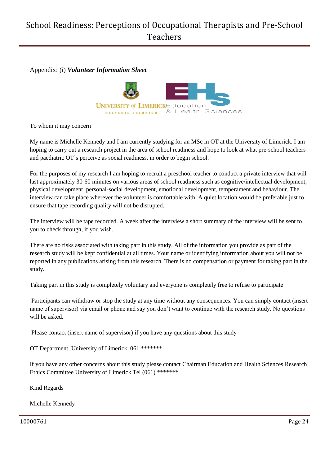Appendix: (i) *Volunteer Information Sheet*



To whom it may concern

My name is Michelle Kennedy and I am currently studying for an MSc in OT at the University of Limerick. I am hoping to carry out a research project in the area of school readiness and hope to look at what pre-school teachers and paediatric OT's perceive as social readiness, in order to begin school.

For the purposes of my research I am hoping to recruit a preschool teacher to conduct a private interview that will last approximately 30-60 minutes on various areas of school readiness such as cognitive/intellectual development, physical development, personal-social development, emotional development, temperament and behaviour. The interview can take place wherever the volunteer is comfortable with. A quiet location would be preferable just to ensure that tape recording quality will not be disrupted.

The interview will be tape recorded. A week after the interview a short summary of the interview will be sent to you to check through, if you wish.

There are no risks associated with taking part in this study. All of the information you provide as part of the research study will be kept confidential at all times. Your name or identifying information about you will not be reported in any publications arising from this research. There is no compensation or payment for taking part in the study.

Taking part in this study is completely voluntary and everyone is completely free to refuse to participate

Participants can withdraw or stop the study at any time without any consequences. You can simply contact (insert name of supervisor) via email or phone and say you don't want to continue with the research study. No questions will be asked.

Please contact (insert name of supervisor) if you have any questions about this study

OT Department, University of Limerick, 061 \*\*\*\*\*\*\*

If you have any other concerns about this study please contact Chairman Education and Health Sciences Research Ethics Committee University of Limerick Tel (061) \*\*\*\*\*\*\*

Kind Regards

Michelle Kennedy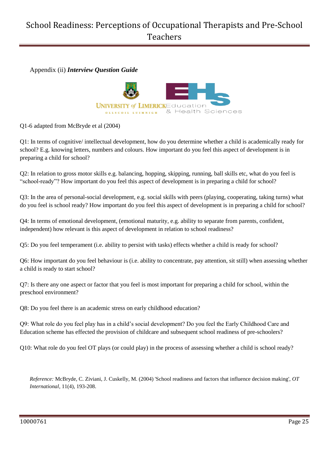Appendix (ii) *Interview Question Guide*



Q1-6 adapted from McBryde et al (2004)

Q1: In terms of cognitive/ intellectual development, how do you determine whether a child is academically ready for school? E.g. knowing letters, numbers and colours. How important do you feel this aspect of development is in preparing a child for school?

Q2: In relation to gross motor skills e.g. balancing, hopping, skipping, running, ball skills etc, what do you feel is "school-ready"? How important do you feel this aspect of development is in preparing a child for school?

Q3: In the area of personal-social development, e.g. social skills with peers (playing, cooperating, taking turns) what do you feel is school ready? How important do you feel this aspect of development is in preparing a child for school?

Q4: In terms of emotional development, (emotional maturity, e.g. ability to separate from parents, confident, independent) how relevant is this aspect of development in relation to school readiness?

Q5: Do you feel temperament (i.e. ability to persist with tasks) effects whether a child is ready for school?

Q6: How important do you feel behaviour is (i.e. ability to concentrate, pay attention, sit still) when assessing whether a child is ready to start school?

Q7: Is there any one aspect or factor that you feel is most important for preparing a child for school, within the preschool environment?

Q8: Do you feel there is an academic stress on early childhood education?

Q9: What role do you feel play has in a child's social development? Do you feel the Early Childhood Care and Education scheme has effected the provision of childcare and subsequent school readiness of pre-schoolers?

Q10: What role do you feel OT plays (or could play) in the process of assessing whether a child is school ready?

*Reference:* McBryde, C. Ziviani, J. Cuskelly, M. (2004) 'School readiness and factors that influence decision making', *OT International*, 11(4), 193-208.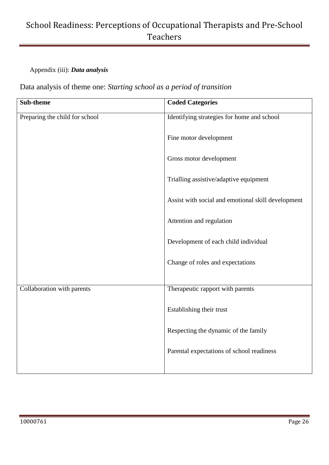### Appendix (iii): *Data analysis*

Data analysis of theme one: *Starting school as a period of transition*

| Sub-theme                      | <b>Coded Categories</b>                            |
|--------------------------------|----------------------------------------------------|
| Preparing the child for school | Identifying strategies for home and school         |
|                                | Fine motor development                             |
|                                | Gross motor development                            |
|                                | Trialling assistive/adaptive equipment             |
|                                | Assist with social and emotional skill development |
|                                | Attention and regulation                           |
|                                | Development of each child individual               |
|                                | Change of roles and expectations                   |
|                                |                                                    |
| Collaboration with parents     | Therapeutic rapport with parents                   |
|                                | Establishing their trust                           |
|                                | Respecting the dynamic of the family               |
|                                | Parental expectations of school readiness          |
|                                |                                                    |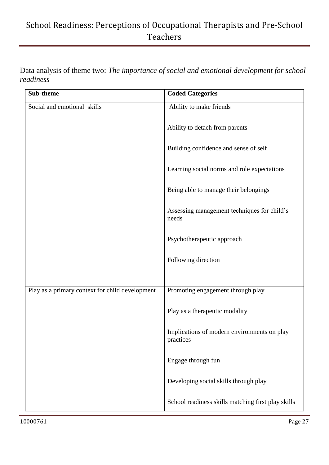Data analysis of theme two: *The importance of social and emotional development for school readiness* 

| Sub-theme                                       | <b>Coded Categories</b>                                  |
|-------------------------------------------------|----------------------------------------------------------|
| Social and emotional skills                     | Ability to make friends                                  |
|                                                 | Ability to detach from parents                           |
|                                                 | Building confidence and sense of self                    |
|                                                 | Learning social norms and role expectations              |
|                                                 | Being able to manage their belongings                    |
|                                                 | Assessing management techniques for child's<br>needs     |
|                                                 | Psychotherapeutic approach                               |
|                                                 | Following direction                                      |
|                                                 |                                                          |
| Play as a primary context for child development | Promoting engagement through play                        |
|                                                 | Play as a therapeutic modality                           |
|                                                 | Implications of modern environments on play<br>practices |
|                                                 | Engage through fun                                       |
|                                                 | Developing social skills through play                    |
|                                                 | School readiness skills matching first play skills       |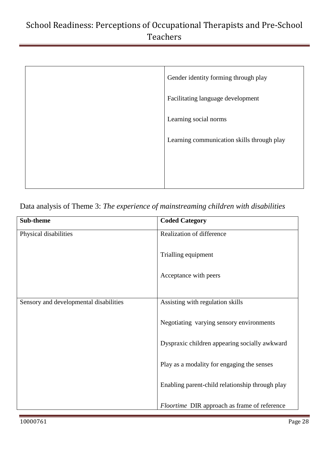| Gender identity forming through play       |
|--------------------------------------------|
| Facilitating language development          |
| Learning social norms                      |
| Learning communication skills through play |
|                                            |
|                                            |

Data analysis of Theme 3: *The experience of mainstreaming children with disabilities* 

| Sub-theme                              | <b>Coded Category</b>                           |
|----------------------------------------|-------------------------------------------------|
| Physical disabilities                  | Realization of difference                       |
|                                        | Trialling equipment                             |
|                                        | Acceptance with peers                           |
| Sensory and developmental disabilities | Assisting with regulation skills                |
|                                        | Negotiating varying sensory environments        |
|                                        | Dyspraxic children appearing socially awkward   |
|                                        | Play as a modality for engaging the senses      |
|                                        | Enabling parent-child relationship through play |
|                                        | Floortime DIR approach as frame of reference    |